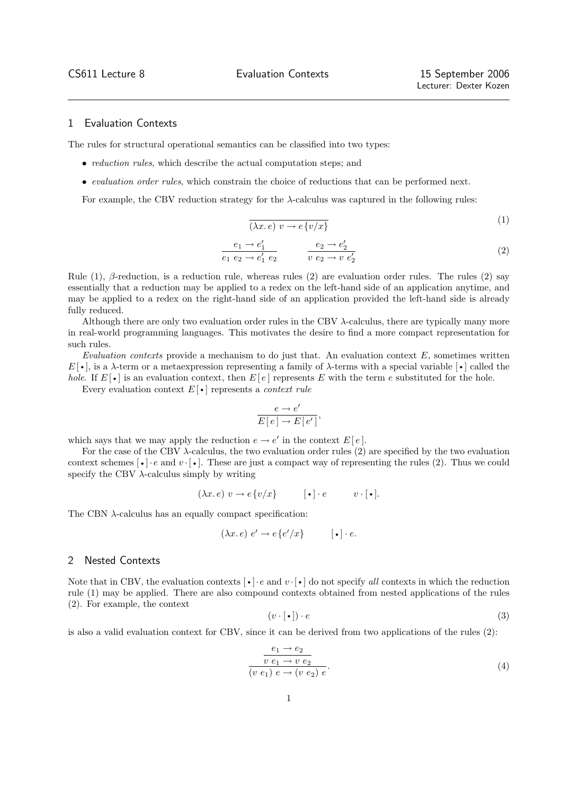$(1)$ 

## 1 Evaluation Contexts

The rules for structural operational semantics can be classified into two types:

- *reduction rules*, which describe the actual computation steps; and
- evaluation order rules, which constrain the choice of reductions that can be performed next.

For example, the CBV reduction strategy for the  $\lambda$ -calculus was captured in the following rules:

$$
\overline{(\lambda x. e) v \to e \{v/x\}}
$$
 (1)

$$
\frac{e_1 \to e_1'}{e_1 \ e_2 \to e_1' \ e_2} \qquad \frac{e_2 \to e_2'}{v \ e_2 \to v \ e_2'} \tag{2}
$$

Rule  $(1)$ ,  $\beta$ -reduction, is a reduction rule, whereas rules  $(2)$  are evaluation order rules. The rules  $(2)$  say essentially that a reduction may be applied to a redex on the left-hand side of an application anytime, and may be applied to a redex on the right-hand side of an application provided the left-hand side is already fully reduced.

Although there are only two evaluation order rules in the CBV  $\lambda$ -calculus, there are typically many more in real-world programming languages. This motivates the desire to find a more compact representation for such rules.

Evaluation contexts provide a mechanism to do just that. An evaluation context  $E$ , sometimes written  $E[\cdot]$ , is a  $\lambda$ -term or a metaexpression representing a family of  $\lambda$ -terms with a special variable  $[\cdot]$  called the hole. If  $E[\cdot]$  is an evaluation context, then  $E[e]$  represents E with the term e substituted for the hole.

Every evaluation context  $E[\cdot]$  represents a *context rule* 

$$
\frac{e \to e'}{E[e] \to E[e']},
$$

which says that we may apply the reduction  $e \to e'$  in the context  $E[e]$ .

For the case of the CBV  $\lambda$ -calculus, the two evaluation order rules (2) are specified by the two evaluation context schemes  $\lceil \cdot \rceil$  · e and  $v \cdot \lceil \cdot \rceil$ . These are just a compact way of representing the rules (2). Thus we could specify the CBV  $\lambda$ -calculus simply by writing

$$
(\lambda x. e) v \to e \{v/x\} \qquad [\bullet] \cdot e \qquad v \cdot [\bullet].
$$

The CBN  $\lambda$ -calculus has an equally compact specification:

$$
(\lambda x. e) e' \to e \{e'/x\} \qquad [\bullet] \cdot e.
$$

## 2 Nested Contexts

Note that in CBV, the evaluation contexts  $\lceil \cdot \rceil \cdot e$  and  $v \cdot \lceil \cdot \rceil$  do not specify all contexts in which the reduction rule (1) may be applied. There are also compound contexts obtained from nested applications of the rules (2). For example, the context

$$
(v \cdot [\bullet]) \cdot e \tag{3}
$$

is also a valid evaluation context for CBV, since it can be derived from two applications of the rules (2):

$$
\frac{e_1 \to e_2}{v \ e_1 \to v \ e_2}
$$
  
(v e\_1) e \to (v e\_2) e. (4)